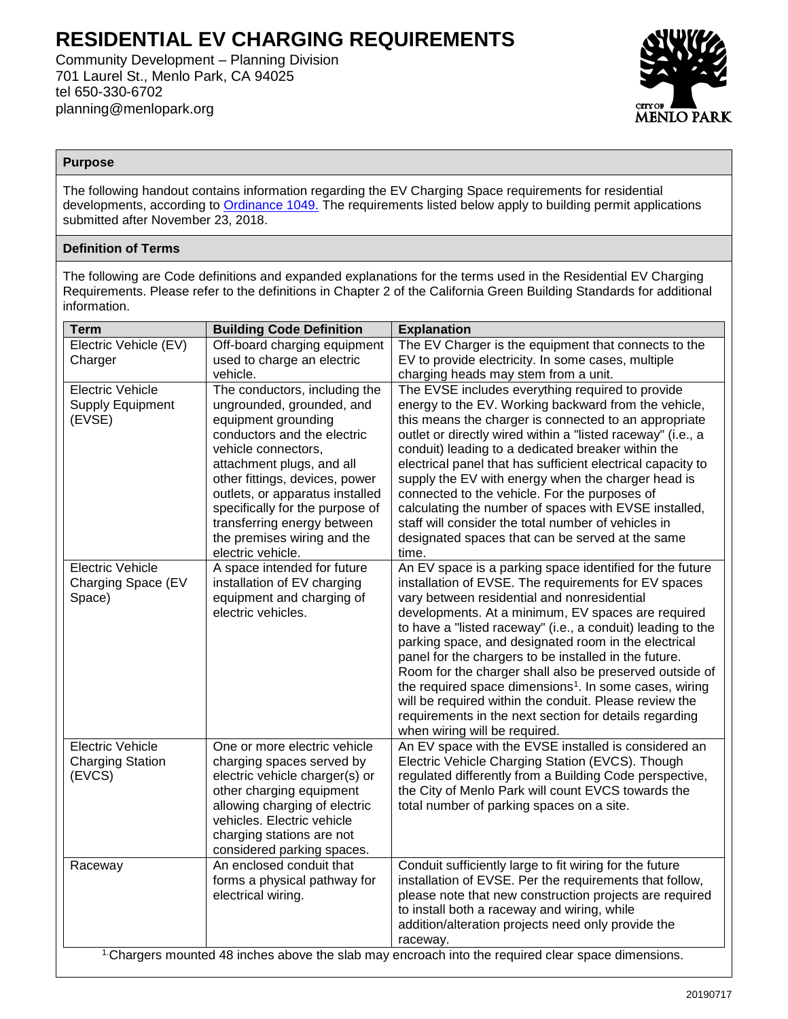# **RESIDENTIAL EV CHARGING REQUIREMENTS**

Community Development – Planning Division 701 Laurel St., Menlo Park, CA 94025 tel 650-330-6702 planning@menlopark.org



## **Purpose**

The following handout contains information regarding the EV Charging Space requirements for residential developments, according to [Ordinance 1049.](https://www.menlopark.org/DocumentCenter/View/18835/H5---CD---EV-chargers---18-193) The requirements listed below apply to building permit applications submitted after November 23, 2018.

# **Definition of Terms**

The following are Code definitions and expanded explanations for the terms used in the Residential EV Charging Requirements. Please refer to the definitions in Chapter 2 of the California Green Building Standards for additional information.

| <b>Term</b>                                                                                                   | <b>Building Code Definition</b>                                | <b>Explanation</b>                                                                                           |  |  |  |
|---------------------------------------------------------------------------------------------------------------|----------------------------------------------------------------|--------------------------------------------------------------------------------------------------------------|--|--|--|
| Electric Vehicle (EV)                                                                                         | Off-board charging equipment                                   | The EV Charger is the equipment that connects to the                                                         |  |  |  |
| Charger                                                                                                       | used to charge an electric                                     | EV to provide electricity. In some cases, multiple                                                           |  |  |  |
|                                                                                                               | vehicle.                                                       | charging heads may stem from a unit.                                                                         |  |  |  |
| <b>Electric Vehicle</b>                                                                                       | The conductors, including the                                  | The EVSE includes everything required to provide                                                             |  |  |  |
| <b>Supply Equipment</b>                                                                                       | ungrounded, grounded, and                                      | energy to the EV. Working backward from the vehicle,                                                         |  |  |  |
| (EVSE)                                                                                                        | equipment grounding                                            | this means the charger is connected to an appropriate                                                        |  |  |  |
|                                                                                                               | conductors and the electric                                    | outlet or directly wired within a "listed raceway" (i.e., a                                                  |  |  |  |
|                                                                                                               | vehicle connectors,                                            | conduit) leading to a dedicated breaker within the                                                           |  |  |  |
|                                                                                                               | attachment plugs, and all                                      | electrical panel that has sufficient electrical capacity to                                                  |  |  |  |
|                                                                                                               | other fittings, devices, power                                 | supply the EV with energy when the charger head is                                                           |  |  |  |
|                                                                                                               | outlets, or apparatus installed                                | connected to the vehicle. For the purposes of                                                                |  |  |  |
|                                                                                                               | specifically for the purpose of<br>transferring energy between | calculating the number of spaces with EVSE installed,<br>staff will consider the total number of vehicles in |  |  |  |
|                                                                                                               | the premises wiring and the                                    | designated spaces that can be served at the same                                                             |  |  |  |
|                                                                                                               | electric vehicle.                                              | time.                                                                                                        |  |  |  |
| <b>Electric Vehicle</b>                                                                                       | A space intended for future                                    | An EV space is a parking space identified for the future                                                     |  |  |  |
| Charging Space (EV                                                                                            | installation of EV charging                                    | installation of EVSE. The requirements for EV spaces                                                         |  |  |  |
| Space)                                                                                                        | equipment and charging of                                      | vary between residential and nonresidential                                                                  |  |  |  |
|                                                                                                               | electric vehicles.                                             | developments. At a minimum, EV spaces are required                                                           |  |  |  |
|                                                                                                               |                                                                | to have a "listed raceway" (i.e., a conduit) leading to the                                                  |  |  |  |
|                                                                                                               |                                                                | parking space, and designated room in the electrical                                                         |  |  |  |
|                                                                                                               |                                                                | panel for the chargers to be installed in the future.                                                        |  |  |  |
|                                                                                                               |                                                                | Room for the charger shall also be preserved outside of                                                      |  |  |  |
|                                                                                                               |                                                                | the required space dimensions <sup>1</sup> . In some cases, wiring                                           |  |  |  |
|                                                                                                               |                                                                | will be required within the conduit. Please review the                                                       |  |  |  |
|                                                                                                               |                                                                | requirements in the next section for details regarding                                                       |  |  |  |
|                                                                                                               |                                                                | when wiring will be required.                                                                                |  |  |  |
| <b>Electric Vehicle</b>                                                                                       | One or more electric vehicle                                   | An EV space with the EVSE installed is considered an                                                         |  |  |  |
| <b>Charging Station</b>                                                                                       | charging spaces served by                                      | Electric Vehicle Charging Station (EVCS). Though                                                             |  |  |  |
| (EVCS)                                                                                                        | electric vehicle charger(s) or                                 | regulated differently from a Building Code perspective,                                                      |  |  |  |
|                                                                                                               | other charging equipment<br>allowing charging of electric      | the City of Menlo Park will count EVCS towards the<br>total number of parking spaces on a site.              |  |  |  |
|                                                                                                               | vehicles. Electric vehicle                                     |                                                                                                              |  |  |  |
|                                                                                                               | charging stations are not                                      |                                                                                                              |  |  |  |
|                                                                                                               | considered parking spaces.                                     |                                                                                                              |  |  |  |
| Raceway                                                                                                       | An enclosed conduit that                                       | Conduit sufficiently large to fit wiring for the future                                                      |  |  |  |
|                                                                                                               | forms a physical pathway for                                   | installation of EVSE. Per the requirements that follow,                                                      |  |  |  |
|                                                                                                               | electrical wiring.                                             | please note that new construction projects are required                                                      |  |  |  |
|                                                                                                               |                                                                | to install both a raceway and wiring, while                                                                  |  |  |  |
|                                                                                                               |                                                                | addition/alteration projects need only provide the                                                           |  |  |  |
|                                                                                                               |                                                                | raceway.                                                                                                     |  |  |  |
| <sup>1</sup> Chargers mounted 48 inches above the slab may encroach into the required clear space dimensions. |                                                                |                                                                                                              |  |  |  |